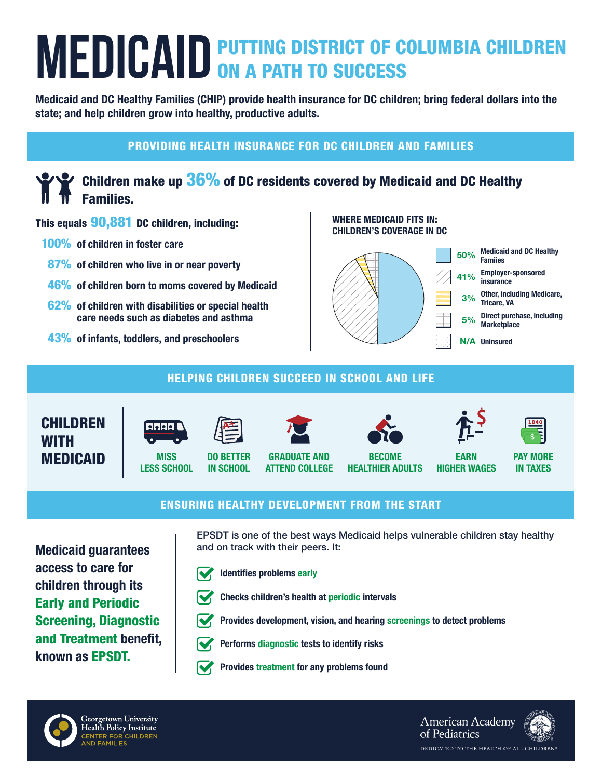# **MEDICAID** PUTTING DISTRICT OF COLUMBIA CHILDREN

Medicaid and DC Healthy Families (CHIP) provide health insurance for DC children; bring federal dollars into the state; and help children grow into healthy, productive adults.

# PROVIDING HEALTH INSURANCE FOR DC CHILDREN AND FAMILIES

# Children make up 36% of DC residents covered by Medicaid and DC Healthy Families.

## This equals 90,881 DC children, including:

- 100% of children in foster care
- 87% of children who live in or near poverty
- **46%** of children born to moms covered by Medicaid
- 62% of children with disabilities or special health care needs such as diabetes and asthma
- 43% of infants, toddlers, and preschoolers

WHERE MEDICAID FITS IN: CHILDREN'S COVERAGE IN DC



## HELPING CHILDREN SUCCEED IN SCHOOL AND LIFE





**MISS** LESS SCHOOL



IN SCHOOL







EARN HIGHER WAGES



PAY MORE IN TAXES

### ENSURING HEALTHY DEVELOPMENT FROM THE START

Medicaid guarantees access to care for children through its Early and Periodic Screening, Diagnostic and Treatment benefit, known as EPSDT.

EPSDT is one of the best ways Medicaid helps vulnerable children stay healthy and on track with their peers. It:



Identifies problems early



- Checks children's health at periodic intervals
- Provides development, vision, and hearing screenings to detect problems



- Performs diagnostic tests to identify risks
- Provides treatment for any problems found



**American Academy** of Pediatrics DEDICATED TO THE HEALTH OF ALL CHILDREN®